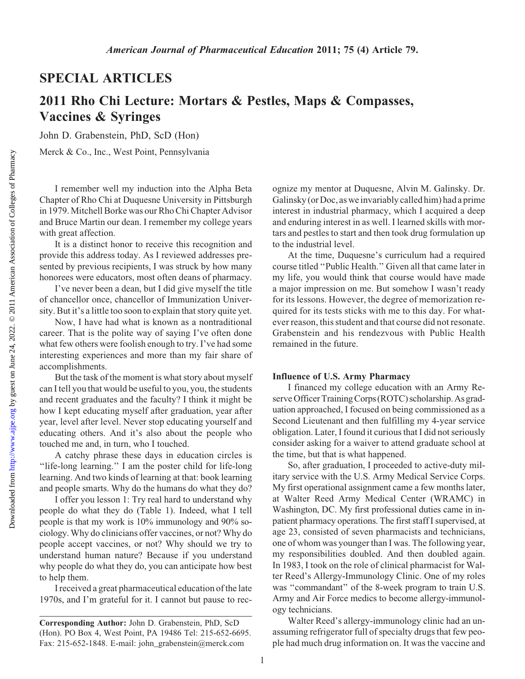# SPECIAL ARTICLES

# 2011 Rho Chi Lecture: Mortars & Pestles, Maps & Compasses, Vaccines & Syringes

John D. Grabenstein, PhD, ScD (Hon)

Merck & Co., Inc., West Point, Pennsylvania

I remember well my induction into the Alpha Beta Chapter of Rho Chi at Duquesne University in Pittsburgh in 1979. Mitchell Borke was our Rho Chi Chapter Advisor and Bruce Martin our dean. I remember my college years with great affection.

It is a distinct honor to receive this recognition and provide this address today. As I reviewed addresses presented by previous recipients, I was struck by how many honorees were educators, most often deans of pharmacy.

I've never been a dean, but I did give myself the title of chancellor once, chancellor of Immunization University. But it's a little too soon to explain that story quite yet.

Now, I have had what is known as a nontraditional career. That is the polite way of saying I've often done what few others were foolish enough to try. I've had some interesting experiences and more than my fair share of accomplishments.

But the task of the moment is what story about myself can I tell you that would be useful to you, you, the students and recent graduates and the faculty? I think it might be how I kept educating myself after graduation, year after year, level after level. Never stop educating yourself and educating others. And it's also about the people who touched me and, in turn, who I touched.

A catchy phrase these days in education circles is ''life-long learning.'' I am the poster child for life-long learning. And two kinds of learning at that: book learning and people smarts. Why do the humans do what they do?

I offer you lesson 1: Try real hard to understand why people do what they do (Table 1). Indeed, what I tell people is that my work is 10% immunology and 90% sociology. Why do clinicians offer vaccines, or not? Why do people accept vaccines, or not? Why should we try to understand human nature? Because if you understand why people do what they do, you can anticipate how best to help them.

I received a great pharmaceutical education of the late 1970s, and I'm grateful for it. I cannot but pause to rec-

ognize my mentor at Duquesne, Alvin M. Galinsky. Dr. Galinsky (or Doc, as we invariably called him) had a prime interest in industrial pharmacy, which I acquired a deep and enduring interest in as well. I learned skills with mortars and pestles to start and then took drug formulation up to the industrial level.

At the time, Duquesne's curriculum had a required course titled ''Public Health.'' Given all that came later in my life, you would think that course would have made a major impression on me. But somehow I wasn't ready for its lessons. However, the degree of memorization required for its tests sticks with me to this day. For whatever reason, this student and that course did not resonate. Grabenstein and his rendezvous with Public Health remained in the future.

## Influence of U.S. Army Pharmacy

I financed my college education with an Army Reserve Officer Training Corps (ROTC) scholarship. As graduation approached, I focused on being commissioned as a Second Lieutenant and then fulfilling my 4-year service obligation. Later, I found it curious that I did not seriously consider asking for a waiver to attend graduate school at the time, but that is what happened.

So, after graduation, I proceeded to active-duty military service with the U.S. Army Medical Service Corps. My first operational assignment came a few months later, at Walter Reed Army Medical Center (WRAMC) in Washington, DC. My first professional duties came in inpatient pharmacy operations. The first staff I supervised, at age 23, consisted of seven pharmacists and technicians, one of whom was younger than I was. The following year, my responsibilities doubled. And then doubled again. In 1983, I took on the role of clinical pharmacist for Walter Reed's Allergy-Immunology Clinic. One of my roles was ''commandant'' of the 8-week program to train U.S. Army and Air Force medics to become allergy-immunology technicians.

Walter Reed's allergy-immunology clinic had an unassuming refrigerator full of specialty drugs that few people had much drug information on. It was the vaccine and

Corresponding Author: John D. Grabenstein, PhD, ScD (Hon). PO Box 4, West Point, PA 19486 Tel: 215-652-6695. Fax: 215-652-1848. E-mail: john\_grabenstein@merck.com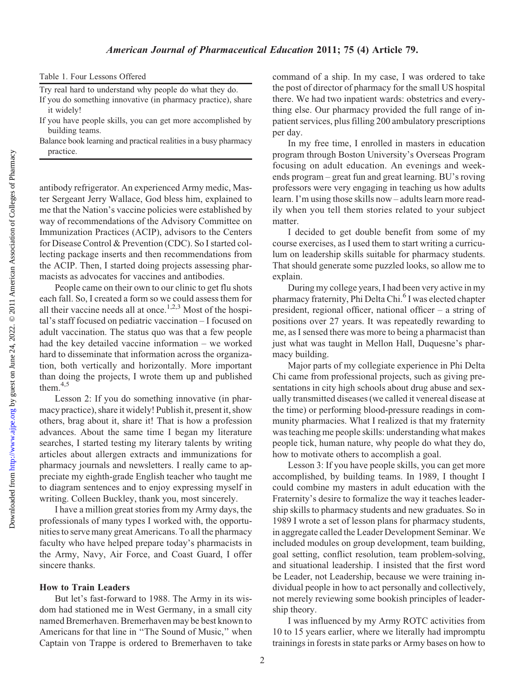Downloaded from

Table 1. Four Lessons Offered

Try real hard to understand why people do what they do.

If you do something innovative (in pharmacy practice), share it widely!

- If you have people skills, you can get more accomplished by building teams.
- Balance book learning and practical realities in a busy pharmacy practice.

antibody refrigerator. An experienced Army medic, Master Sergeant Jerry Wallace, God bless him, explained to me that the Nation's vaccine policies were established by way of recommendations of the Advisory Committee on Immunization Practices (ACIP), advisors to the Centers for Disease Control & Prevention (CDC). So I started collecting package inserts and then recommendations from the ACIP. Then, I started doing projects assessing pharmacists as advocates for vaccines and antibodies.

People came on their own to our clinic to get flu shots each fall. So, I created a form so we could assess them for all their vaccine needs all at once.<sup>1,2,3</sup> Most of the hospital's staff focused on pediatric vaccination – I focused on adult vaccination. The status quo was that a few people had the key detailed vaccine information – we worked hard to disseminate that information across the organization, both vertically and horizontally. More important than doing the projects, I wrote them up and published them. $4,5$ 

Lesson 2: If you do something innovative (in pharmacy practice), share it widely! Publish it, present it, show others, brag about it, share it! That is how a profession advances. About the same time I began my literature searches, I started testing my literary talents by writing articles about allergen extracts and immunizations for pharmacy journals and newsletters. I really came to appreciate my eighth-grade English teacher who taught me to diagram sentences and to enjoy expressing myself in writing. Colleen Buckley, thank you, most sincerely.

I have a million great stories from my Army days, the professionals of many types I worked with, the opportunities to serve many great Americans. To all the pharmacy faculty who have helped prepare today's pharmacists in the Army, Navy, Air Force, and Coast Guard, I offer sincere thanks.

# How to Train Leaders

But let's fast-forward to 1988. The Army in its wisdom had stationed me in West Germany, in a small city named Bremerhaven. Bremerhaven may be best known to Americans for that line in ''The Sound of Music,'' when Captain von Trappe is ordered to Bremerhaven to take command of a ship. In my case, I was ordered to take the post of director of pharmacy for the small US hospital there. We had two inpatient wards: obstetrics and everything else. Our pharmacy provided the full range of inpatient services, plus filling 200 ambulatory prescriptions per day.

In my free time, I enrolled in masters in education program through Boston University's Overseas Program focusing on adult education. An evenings and weekends program – great fun and great learning. BU's roving professors were very engaging in teaching us how adults learn. I'm using those skills now – adults learn more readily when you tell them stories related to your subject matter.

I decided to get double benefit from some of my course exercises, as I used them to start writing a curriculum on leadership skills suitable for pharmacy students. That should generate some puzzled looks, so allow me to explain.

During my college years, I had been very active in my pharmacy fraternity, Phi Delta Chi.6 I was elected chapter president, regional officer, national officer – a string of positions over 27 years. It was repeatedly rewarding to me, as I sensed there was more to being a pharmacist than just what was taught in Mellon Hall, Duquesne's pharmacy building.

Major parts of my collegiate experience in Phi Delta Chi came from professional projects, such as giving presentations in city high schools about drug abuse and sexually transmitted diseases (we called it venereal disease at the time) or performing blood-pressure readings in community pharmacies. What I realized is that my fraternity was teaching me people skills: understanding what makes people tick, human nature, why people do what they do, how to motivate others to accomplish a goal.

Lesson 3: If you have people skills, you can get more accomplished, by building teams. In 1989, I thought I could combine my masters in adult education with the Fraternity's desire to formalize the way it teaches leadership skills to pharmacy students and new graduates. So in 1989 I wrote a set of lesson plans for pharmacy students, in aggregate called the Leader Development Seminar. We included modules on group development, team building, goal setting, conflict resolution, team problem-solving, and situational leadership. I insisted that the first word be Leader, not Leadership, because we were training individual people in how to act personally and collectively, not merely reviewing some bookish principles of leadership theory.

I was influenced by my Army ROTC activities from 10 to 15 years earlier, where we literally had impromptu trainings in forests in state parks or Army bases on how to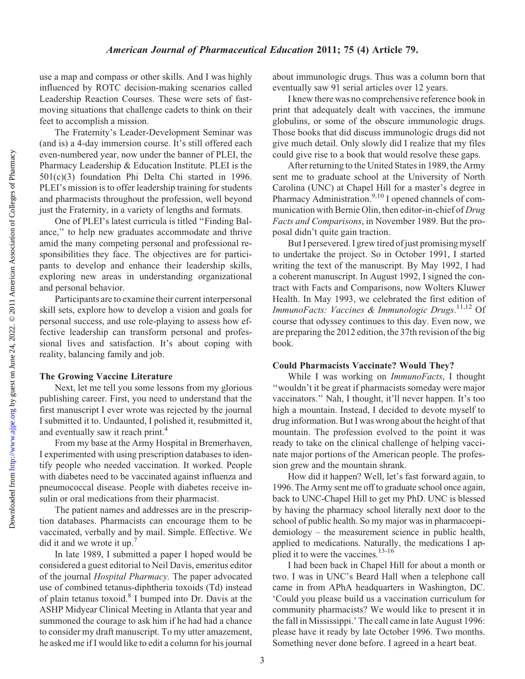use a map and compass or other skills. And I was highly influenced by ROTC decision-making scenarios called Leadership Reaction Courses. These were sets of fastmoving situations that challenge cadets to think on their feet to accomplish a mission.

The Fraternity's Leader-Development Seminar was (and is) a 4-day immersion course. It's still offered each even-numbered year, now under the banner of PLEI, the Pharmacy Leadership & Education Institute. PLEI is the 501(c)(3) foundation Phi Delta Chi started in 1996. PLEI's mission is to offer leadership training for students and pharmacists throughout the profession, well beyond just the Fraternity, in a variety of lengths and formats.

One of PLEI's latest curricula is titled ''Finding Balance,'' to help new graduates accommodate and thrive amid the many competing personal and professional responsibilities they face. The objectives are for participants to develop and enhance their leadership skills, exploring new areas in understanding organizational and personal behavior.

Participants are to examine their current interpersonal skill sets, explore how to develop a vision and goals for personal success, and use role-playing to assess how effective leadership can transform personal and professional lives and satisfaction. It's about coping with reality, balancing family and job.

## The Growing Vaccine Literature

Next, let me tell you some lessons from my glorious publishing career. First, you need to understand that the first manuscript I ever wrote was rejected by the journal I submitted it to. Undaunted, I polished it, resubmitted it, and eventually saw it reach print.<sup>4</sup>

From my base at the Army Hospital in Bremerhaven, I experimented with using prescription databases to identify people who needed vaccination. It worked. People with diabetes need to be vaccinated against influenza and pneumococcal disease. People with diabetes receive insulin or oral medications from their pharmacist.

The patient names and addresses are in the prescription databases. Pharmacists can encourage them to be vaccinated, verbally and by mail. Simple. Effective. We did it and we wrote it up.<sup>7</sup>

In late 1989, I submitted a paper I hoped would be considered a guest editorial to Neil Davis, emeritus editor of the journal Hospital Pharmacy. The paper advocated use of combined tetanus-diphtheria toxoids (Td) instead of plain tetanus toxoid.8 I bumped into Dr. Davis at the ASHP Midyear Clinical Meeting in Atlanta that year and summoned the courage to ask him if he had had a chance to consider my draft manuscript. To my utter amazement, he asked me if I would like to edit a column for his journal

about immunologic drugs. Thus was a column born that eventually saw 91 serial articles over 12 years.

I knew there was no comprehensive reference book in print that adequately dealt with vaccines, the immune globulins, or some of the obscure immunologic drugs. Those books that did discuss immunologic drugs did not give much detail. Only slowly did I realize that my files could give rise to a book that would resolve these gaps.

After returning to the United States in 1989, the Army sent me to graduate school at the University of North Carolina (UNC) at Chapel Hill for a master's degree in Pharmacy Administration.<sup>9,10</sup> I opened channels of communication with Bernie Olin, then editor-in-chief of Drug Facts and Comparisons, in November 1989. But the proposal didn't quite gain traction.

But I persevered. I grew tired of just promising myself to undertake the project. So in October 1991, I started writing the text of the manuscript. By May 1992, I had a coherent manuscript. In August 1992, I signed the contract with Facts and Comparisons, now Wolters Kluwer Health. In May 1993, we celebrated the first edition of ImmunoFacts: Vaccines & Immunologic Drugs.<sup>11,12</sup> Of course that odyssey continues to this day. Even now, we are preparing the 2012 edition, the 37th revision of the big book.

# Could Pharmacists Vaccinate? Would They?

While I was working on *ImmunoFacts*, I thought ''wouldn't it be great if pharmacists someday were major vaccinators.'' Nah, I thought, it'll never happen. It's too high a mountain. Instead, I decided to devote myself to drug information. But I was wrong about the height of that mountain. The profession evolved to the point it was ready to take on the clinical challenge of helping vaccinate major portions of the American people. The profession grew and the mountain shrank.

How did it happen? Well, let's fast forward again, to 1996. The Army sent me off to graduate school once again, back to UNC-Chapel Hill to get my PhD. UNC is blessed by having the pharmacy school literally next door to the school of public health. So my major was in pharmacoepidemiology – the measurement science in public health, applied to medications. Naturally, the medications I applied it to were the vaccines.<sup>13-16</sup>

I had been back in Chapel Hill for about a month or two. I was in UNC's Beard Hall when a telephone call came in from APhA headquarters in Washington, DC. 'Could you please build us a vaccination curriculum for community pharmacists? We would like to present it in the fall in Mississippi.' The call came in late August 1996: please have it ready by late October 1996. Two months. Something never done before. I agreed in a heart beat.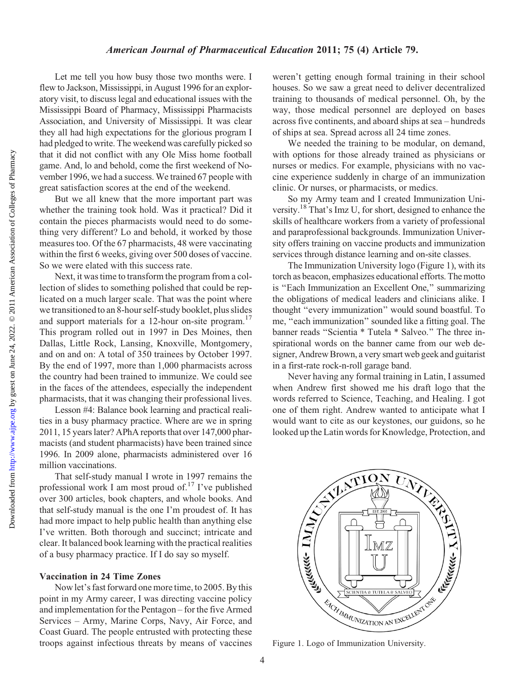Let me tell you how busy those two months were. I flew to Jackson, Mississippi, in August 1996 for an exploratory visit, to discuss legal and educational issues with the Mississippi Board of Pharmacy, Mississippi Pharmacists Association, and University of Mississippi. It was clear they all had high expectations for the glorious program I had pledged to write. The weekend was carefully picked so that it did not conflict with any Ole Miss home football game. And, lo and behold, come the first weekend of November 1996, we had a success. We trained 67 people with great satisfaction scores at the end of the weekend.

But we all knew that the more important part was whether the training took hold. Was it practical? Did it contain the pieces pharmacists would need to do something very different? Lo and behold, it worked by those measures too. Of the 67 pharmacists, 48 were vaccinating within the first 6 weeks, giving over 500 doses of vaccine. So we were elated with this success rate.

Next, it was time to transform the program from a collection of slides to something polished that could be replicated on a much larger scale. That was the point where we transitioned to an 8-hour self-study booklet, plus slides and support materials for a 12-hour on-site program.<sup>17</sup> This program rolled out in 1997 in Des Moines, then Dallas, Little Rock, Lansing, Knoxville, Montgomery, and on and on: A total of 350 trainees by October 1997. By the end of 1997, more than 1,000 pharmacists across the country had been trained to immunize. We could see in the faces of the attendees, especially the independent pharmacists, that it was changing their professional lives.

Lesson #4: Balance book learning and practical realities in a busy pharmacy practice. Where are we in spring 2011, 15 years later? APhA reports that over 147,000 pharmacists (and student pharmacists) have been trained since 1996. In 2009 alone, pharmacists administered over 16 million vaccinations.

That self-study manual I wrote in 1997 remains the professional work I am most proud of.17 I've published over 300 articles, book chapters, and whole books. And that self-study manual is the one I'm proudest of. It has had more impact to help public health than anything else I've written. Both thorough and succinct; intricate and clear. It balanced book learning with the practical realities of a busy pharmacy practice. If I do say so myself.

# Vaccination in 24 Time Zones

Now let's fast forward one more time, to 2005. By this point in my Army career, I was directing vaccine policy and implementation for the Pentagon – for the five Armed Services – Army, Marine Corps, Navy, Air Force, and Coast Guard. The people entrusted with protecting these troops against infectious threats by means of vaccines weren't getting enough formal training in their school houses. So we saw a great need to deliver decentralized training to thousands of medical personnel. Oh, by the way, those medical personnel are deployed on bases across five continents, and aboard ships at sea – hundreds of ships at sea. Spread across all 24 time zones.

We needed the training to be modular, on demand, with options for those already trained as physicians or nurses or medics. For example, physicians with no vaccine experience suddenly in charge of an immunization clinic. Or nurses, or pharmacists, or medics.

So my Army team and I created Immunization University.18 That's Imz U, for short, designed to enhance the skills of healthcare workers from a variety of professional and paraprofessional backgrounds. Immunization University offers training on vaccine products and immunization services through distance learning and on-site classes.

The Immunization University logo (Figure 1), with its torch as beacon, emphasizes educational efforts. The motto is ''Each Immunization an Excellent One,'' summarizing the obligations of medical leaders and clinicians alike. I thought ''every immunization'' would sound boastful. To me, ''each immunization'' sounded like a fitting goal. The banner reads ''Scientia \* Tutela \* Salveo.'' The three inspirational words on the banner came from our web designer, Andrew Brown, a very smart web geek and guitarist in a first-rate rock-n-roll garage band.

Never having any formal training in Latin, I assumed when Andrew first showed me his draft logo that the words referred to Science, Teaching, and Healing. I got one of them right. Andrew wanted to anticipate what I would want to cite as our keystones, our guidons, so he looked up the Latin words for Knowledge, Protection, and



Figure 1. Logo of Immunization University.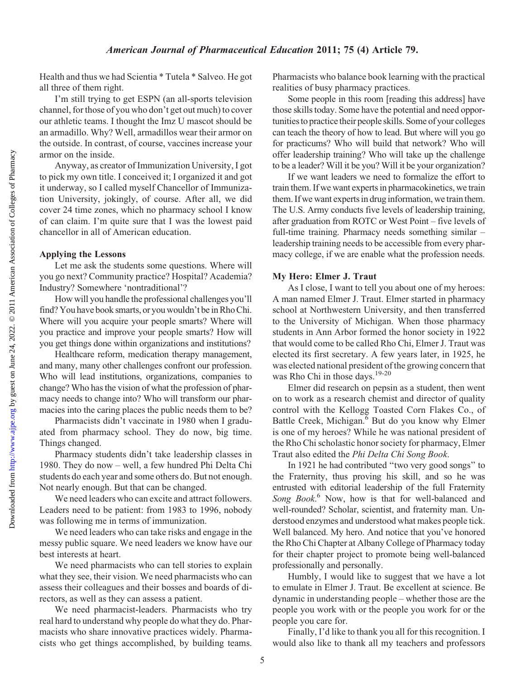Health and thus we had Scientia \* Tutela \* Salveo. He got all three of them right.

I'm still trying to get ESPN (an all-sports television channel, for those of you who don't get out much) to cover our athletic teams. I thought the Imz U mascot should be an armadillo. Why? Well, armadillos wear their armor on the outside. In contrast, of course, vaccines increase your armor on the inside.

Anyway, as creator of Immunization University, I got to pick my own title. I conceived it; I organized it and got it underway, so I called myself Chancellor of Immunization University, jokingly, of course. After all, we did cover 24 time zones, which no pharmacy school I know of can claim. I'm quite sure that I was the lowest paid chancellor in all of American education.

#### Applying the Lessons

Let me ask the students some questions. Where will you go next? Community practice? Hospital? Academia? Industry? Somewhere 'nontraditional'?

How will you handle the professional challenges you'll find? You have book smarts, or you wouldn't be in Rho Chi. Where will you acquire your people smarts? Where will you practice and improve your people smarts? How will you get things done within organizations and institutions?

Healthcare reform, medication therapy management, and many, many other challenges confront our profession. Who will lead institutions, organizations, companies to change? Who has the vision of what the profession of pharmacy needs to change into? Who will transform our pharmacies into the caring places the public needs them to be?

Pharmacists didn't vaccinate in 1980 when I graduated from pharmacy school. They do now, big time. Things changed.

Pharmacy students didn't take leadership classes in 1980. They do now – well, a few hundred Phi Delta Chi students do each year and some others do. But not enough. Not nearly enough. But that can be changed.

We need leaders who can excite and attract followers. Leaders need to be patient: from 1983 to 1996, nobody was following me in terms of immunization.

We need leaders who can take risks and engage in the messy public square. We need leaders we know have our best interests at heart.

We need pharmacists who can tell stories to explain what they see, their vision. We need pharmacists who can assess their colleagues and their bosses and boards of directors, as well as they can assess a patient.

We need pharmacist-leaders. Pharmacists who try real hard to understand why people do what they do. Pharmacists who share innovative practices widely. Pharmacists who get things accomplished, by building teams.

Pharmacists who balance book learning with the practical realities of busy pharmacy practices.

Some people in this room [reading this address] have those skills today. Some have the potential and need opportunities to practice their people skills. Some of your colleges can teach the theory of how to lead. But where will you go for practicums? Who will build that network? Who will offer leadership training? Who will take up the challenge to be a leader? Will it be you? Will it be your organization?

If we want leaders we need to formalize the effort to train them. If we want experts in pharmacokinetics, we train them. If we want experts in drug information, we train them. The U.S. Army conducts five levels of leadership training, after graduation from ROTC or West Point – five levels of full-time training. Pharmacy needs something similar – leadership training needs to be accessible from every pharmacy college, if we are enable what the profession needs.

#### My Hero: Elmer J. Traut

As I close, I want to tell you about one of my heroes: A man named Elmer J. Traut. Elmer started in pharmacy school at Northwestern University, and then transferred to the University of Michigan. When those pharmacy students in Ann Arbor formed the honor society in 1922 that would come to be called Rho Chi, Elmer J. Traut was elected its first secretary. A few years later, in 1925, he was elected national president of the growing concern that was Rho Chi in those days.<sup>19-20</sup>

Elmer did research on pepsin as a student, then went on to work as a research chemist and director of quality control with the Kellogg Toasted Corn Flakes Co., of Battle Creek, Michigan.<sup>6</sup> But do you know why Elmer is one of my heroes? While he was national president of the Rho Chi scholastic honor society for pharmacy, Elmer Traut also edited the Phi Delta Chi Song Book.

In 1921 he had contributed ''two very good songs'' to the Fraternity, thus proving his skill, and so he was entrusted with editorial leadership of the full Fraternity Song Book.<sup>6</sup> Now, how is that for well-balanced and well-rounded? Scholar, scientist, and fraternity man. Understood enzymes and understood what makes people tick. Well balanced. My hero. And notice that you've honored the Rho Chi Chapter at Albany College of Pharmacy today for their chapter project to promote being well-balanced professionally and personally.

Humbly, I would like to suggest that we have a lot to emulate in Elmer J. Traut. Be excellent at science. Be dynamic in understanding people – whether those are the people you work with or the people you work for or the people you care for.

Finally, I'd like to thank you all for this recognition. I would also like to thank all my teachers and professors